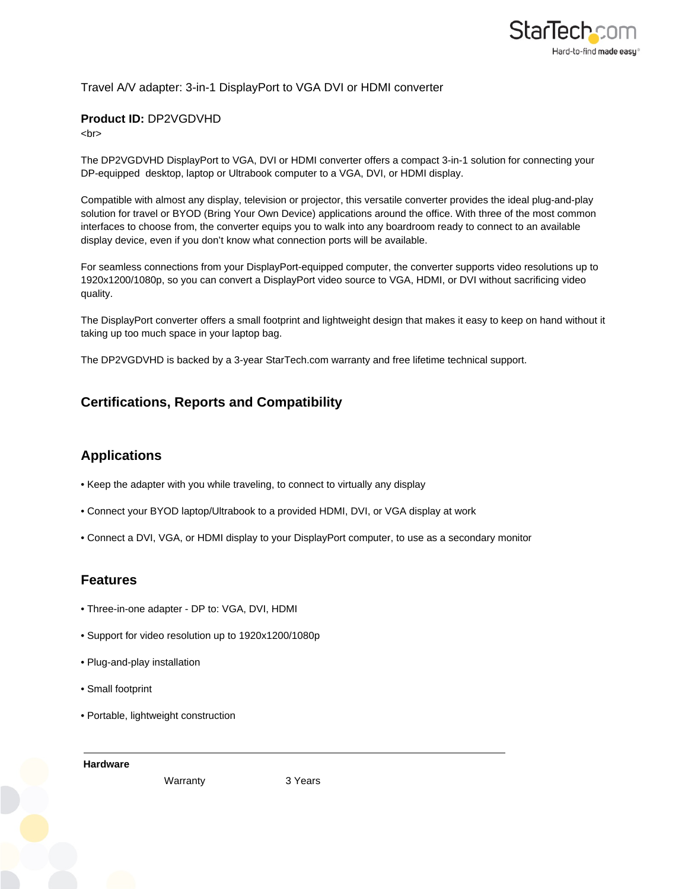

### Travel A/V adapter: 3-in-1 DisplayPort to VGA DVI or HDMI converter

#### **Product ID:** DP2VGDVHD

 $-  
br>$ 

The DP2VGDVHD DisplayPort to VGA, DVI or HDMI converter offers a compact 3-in-1 solution for connecting your DP-equipped desktop, laptop or Ultrabook computer to a VGA, DVI, or HDMI display.

Compatible with almost any display, television or projector, this versatile converter provides the ideal plug-and-play solution for travel or BYOD (Bring Your Own Device) applications around the office. With three of the most common interfaces to choose from, the converter equips you to walk into any boardroom ready to connect to an available display device, even if you don't know what connection ports will be available.

For seamless connections from your DisplayPort-equipped computer, the converter supports video resolutions up to 1920x1200/1080p, so you can convert a DisplayPort video source to VGA, HDMI, or DVI without sacrificing video quality.

The DisplayPort converter offers a small footprint and lightweight design that makes it easy to keep on hand without it taking up too much space in your laptop bag.

The DP2VGDVHD is backed by a 3-year StarTech.com warranty and free lifetime technical support.

# **Certifications, Reports and Compatibility**

# **Applications**

- Keep the adapter with you while traveling, to connect to virtually any display
- Connect your BYOD laptop/Ultrabook to a provided HDMI, DVI, or VGA display at work
- Connect a DVI, VGA, or HDMI display to your DisplayPort computer, to use as a secondary monitor

### **Features**

- Three-in-one adapter DP to: VGA, DVI, HDMI
- Support for video resolution up to 1920x1200/1080p
- Plug-and-play installation
- Small footprint
- Portable, lightweight construction

**Hardware**

Warranty 3 Years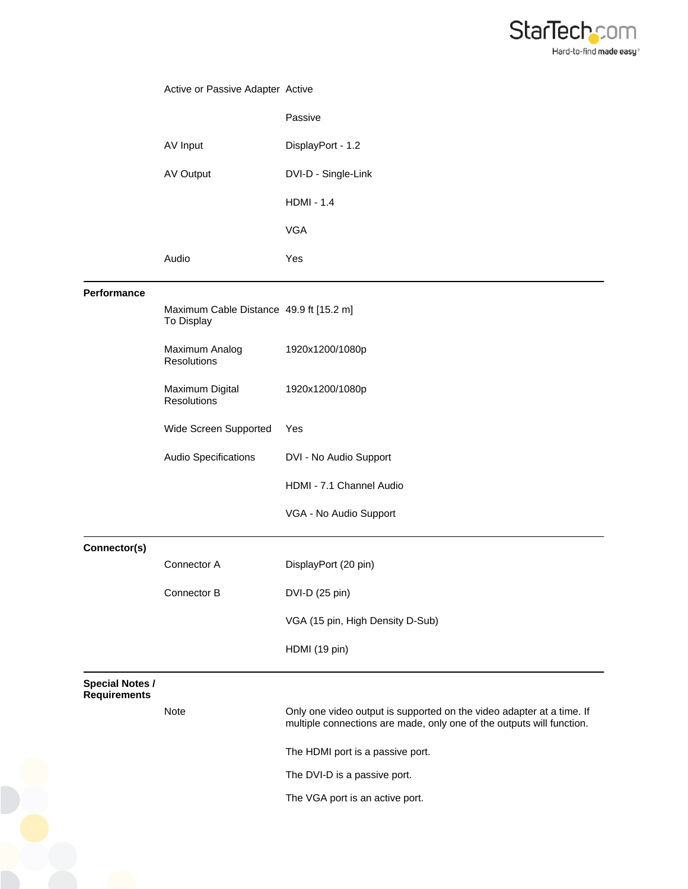

# Active or Passive Adapter Active Passive AV Input DisplayPort - 1.2 AV Output DVI-D - Single-Link HDMI - 1.4 VGA Audio Yes **Performance** Maximum Cable Distance 49.9 ft [15.2 m] To Display Maximum Analog **Resolutions** 1920x1200/1080p Maximum Digital Resolutions 1920x1200/1080p Wide Screen Supported Yes Audio Specifications DVI - No Audio Support HDMI - 7.1 Channel Audio VGA - No Audio Support **Connector(s)** Connector A DisplayPort (20 pin) Connector B DVI-D (25 pin) VGA (15 pin, High Density D-Sub) HDMI (19 pin) **Special Notes / Requirements** Note **Only one video output is supported on the video adapter at a time.** If multiple connections are made, only one of the outputs will function. The HDMI port is a passive port. The DVI-D is a passive port. The VGA port is an active port.